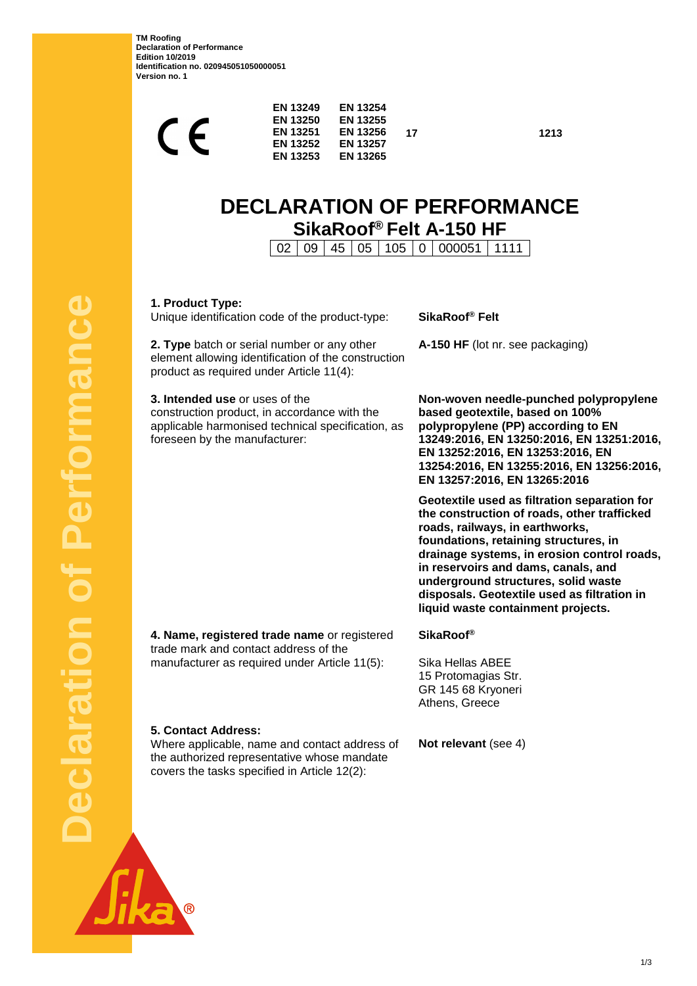**TM Roofing Declaration of Performance Edition 10/2019 Identification no. 020945051050000051 Version no. 1**

**17 1213**

# **DECLARATION OF PERFORMANCE SikaRoof® Felt A-150 HF**

02 09 45 05 105 0 000051 1111

**1. Product Type:**

Unique identification code of the product-type: **SikaRoof® Felt**

**2. Type** batch or serial number or any other element allowing identification of the construction product as required under Article 11(4):

**3. Intended use** or uses of the construction product, in accordance with the applicable harmonised technical specification, as foreseen by the manufacturer:

**A-150 HF** (lot nr. see packaging)

**Non-woven needle-punched polypropylene based geotextile, based on 100% polypropylene (PP) according to EN 13249:2016, EN 13250:2016, EN 13251:2016, EN 13252:2016, EN 13253:2016, EN 13254:2016, EN 13255:2016, EN 13256:2016, EN 13257:2016, EN 13265:2016**

**Geotextile used as filtration separation for the construction of roads, other trafficked roads, railways, in earthworks, foundations, retaining structures, in drainage systems, in erosion control roads, in reservoirs and dams, canals, and underground structures, solid waste disposals. Geotextile used as filtration in liquid waste containment projects.**

**4. Name, registered trade name** or registered trade mark and contact address of the manufacturer as required under Article 11(5):

**SikaRoof®**

Sika Hellas ABEE 15 Protomagias Str. GR 145 68 Kryoneri Athens, Greece

**5. Contact Address:**

Where applicable, name and contact address of the authorized representative whose mandate covers the tasks specified in Article 12(2):

**Not relevant** (see 4)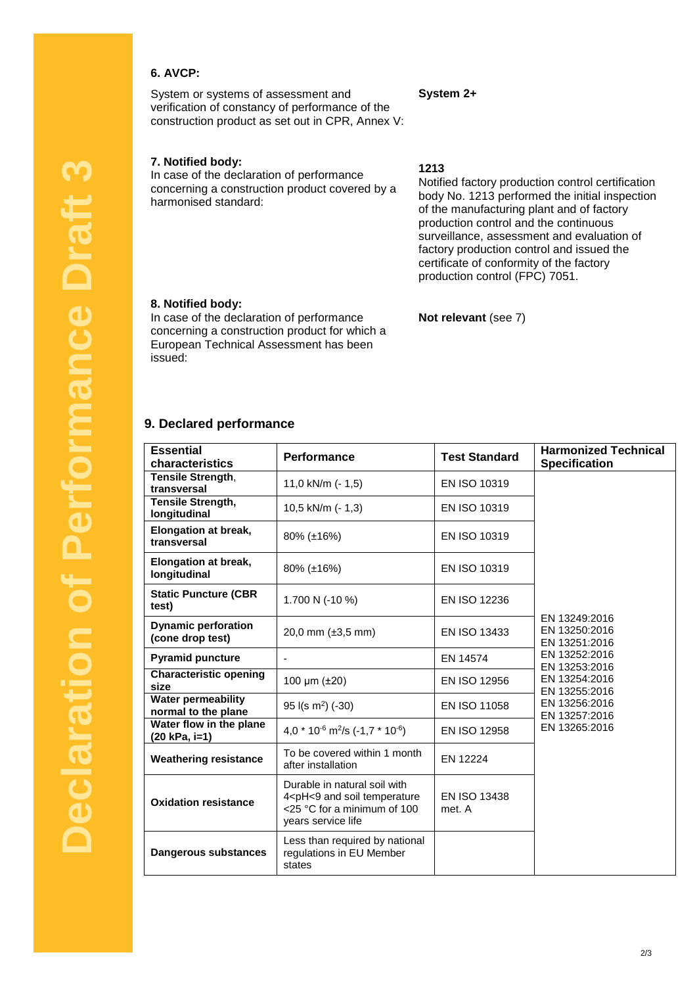## **6. AVCP:**

System or systems of assessment and verification of constancy of performance of the construction product as set out in CPR, Annex V:

### **7. Notified body:**

In case of the declaration of performance concerning a construction product covered by a harmonised standard:

# **1213**

**System 2+**

Notified factory production control certification body No. 1213 performed the initial inspection of the manufacturing plant and of factory production control and the continuous surveillance, assessment and evaluation of factory production control and issued the certificate of conformity of the factory production control (FPC) 7051.

#### **8. Notified body:**

In case of the declaration of performance concerning a construction product for which a European Technical Assessment has been issued:

# **Not relevant** (see 7)

#### **9. Declared performance**

| <b>Essential</b><br>characteristics              | Performance                                                                                                                           | <b>Test Standard</b>          | <b>Harmonized Technical</b><br><b>Specification</b>                                                                                                                    |
|--------------------------------------------------|---------------------------------------------------------------------------------------------------------------------------------------|-------------------------------|------------------------------------------------------------------------------------------------------------------------------------------------------------------------|
| Tensile Strength,                                | 11,0 kN/m (- 1,5)                                                                                                                     | EN ISO 10319                  | EN 13249:2016<br>EN 13250:2016<br>EN 13251:2016<br>EN 13252:2016<br>EN 13253:2016<br>EN 13254:2016<br>EN 13255:2016<br>EN 13256:2016<br>EN 13257:2016<br>EN 13265:2016 |
| transversal<br><b>Tensile Strength,</b>          |                                                                                                                                       |                               |                                                                                                                                                                        |
| longitudinal                                     | 10,5 kN/m (- 1,3)                                                                                                                     | EN ISO 10319                  |                                                                                                                                                                        |
| Elongation at break,<br>transversal              | 80% (±16%)                                                                                                                            | EN ISO 10319                  |                                                                                                                                                                        |
| <b>Elongation at break,</b><br>longitudinal      | 80% (±16%)                                                                                                                            | EN ISO 10319                  |                                                                                                                                                                        |
| <b>Static Puncture (CBR</b><br>test)             | 1.700 N (-10 %)                                                                                                                       | <b>EN ISO 12236</b>           |                                                                                                                                                                        |
| <b>Dynamic perforation</b><br>(cone drop test)   | 20,0 mm (±3,5 mm)                                                                                                                     | <b>EN ISO 13433</b>           |                                                                                                                                                                        |
| <b>Pyramid puncture</b>                          |                                                                                                                                       | EN 14574                      |                                                                                                                                                                        |
| <b>Characteristic opening</b><br>size            | 100 µm (±20)                                                                                                                          | EN ISO 12956                  |                                                                                                                                                                        |
| <b>Water permeability</b><br>normal to the plane | $95$ I(s m <sup>2</sup> ) (-30)                                                                                                       | EN ISO 11058                  |                                                                                                                                                                        |
| Water flow in the plane<br>(20 kPa, i=1)         | 4,0 $*$ 10 <sup>-6</sup> m <sup>2</sup> /s (-1,7 $*$ 10 <sup>-6</sup> )                                                               | EN ISO 12958                  |                                                                                                                                                                        |
| <b>Weathering resistance</b>                     | To be covered within 1 month<br>after installation                                                                                    | EN 12224                      |                                                                                                                                                                        |
| <b>Oxidation resistance</b>                      | Durable in natural soil with<br>4 <ph<9 and="" soil="" temperature<br="">&lt;25 °C for a minimum of 100<br/>years service life</ph<9> | <b>EN ISO 13438</b><br>met. A |                                                                                                                                                                        |
| Dangerous substances                             | Less than required by national<br>regulations in EU Member<br>states                                                                  |                               |                                                                                                                                                                        |